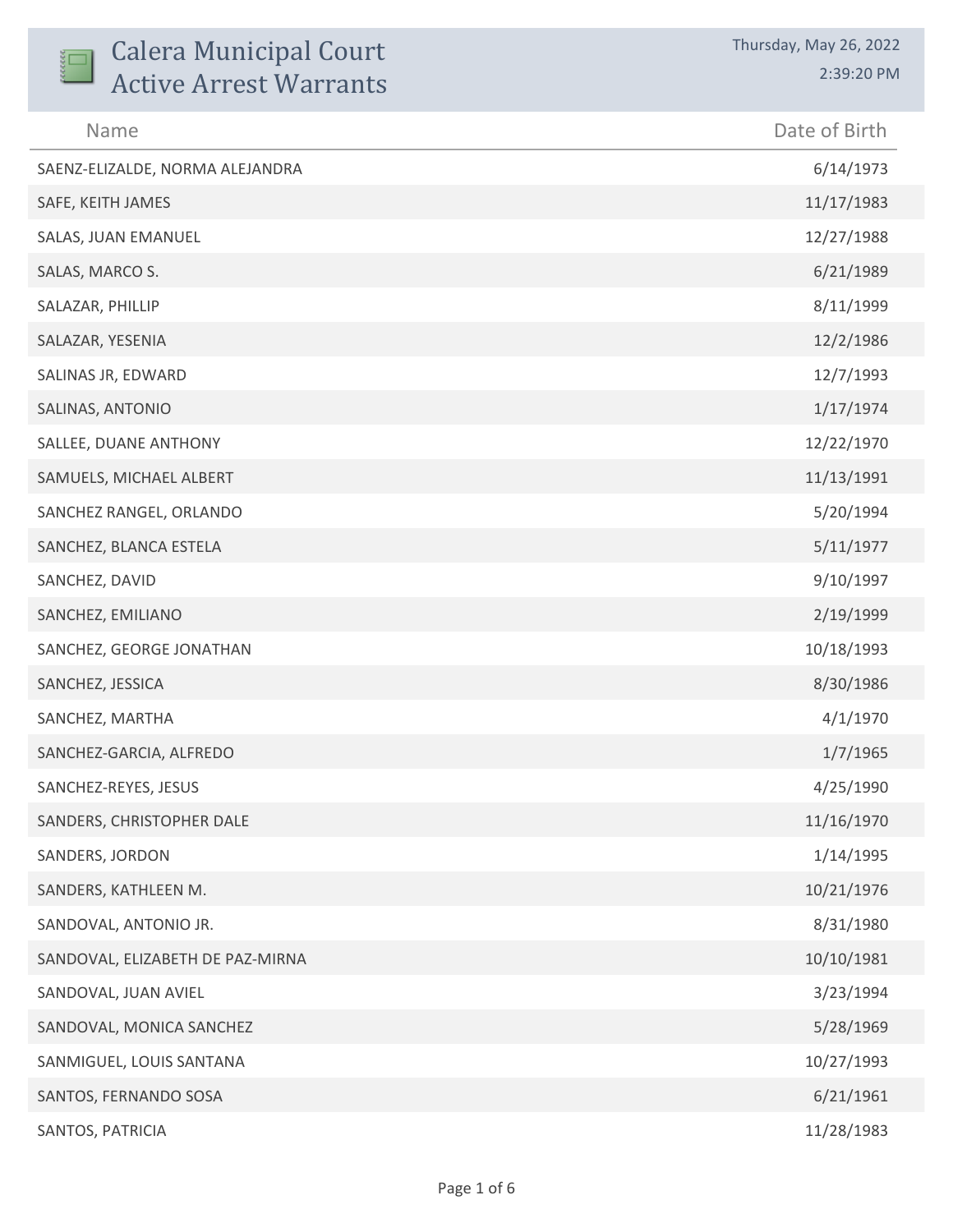| <b>Calera Municipal Court</b><br><b>Active Arrest Warrants</b> | Thursday, May 26, 2022<br>2:39:20 PM |
|----------------------------------------------------------------|--------------------------------------|
| Name                                                           | Date of Birth                        |
| SAENZ-ELIZALDE, NORMA ALEJANDRA                                | 6/14/1973                            |
| SAFE, KEITH JAMES                                              | 11/17/1983                           |
| SALAS, JUAN EMANUEL                                            | 12/27/1988                           |
| SALAS, MARCO S.                                                | 6/21/1989                            |
| SALAZAR, PHILLIP                                               | 8/11/1999                            |
| SALAZAR, YESENIA                                               | 12/2/1986                            |
| SALINAS JR, EDWARD                                             | 12/7/1993                            |
| SALINAS, ANTONIO                                               | 1/17/1974                            |
| SALLEE, DUANE ANTHONY                                          | 12/22/1970                           |
| SAMUELS, MICHAEL ALBERT                                        | 11/13/1991                           |
| SANCHEZ RANGEL, ORLANDO                                        | 5/20/1994                            |
| SANCHEZ, BLANCA ESTELA                                         | 5/11/1977                            |
| SANCHEZ, DAVID                                                 | 9/10/1997                            |
| SANCHEZ, EMILIANO                                              | 2/19/1999                            |
| SANCHEZ, GEORGE JONATHAN                                       | 10/18/1993                           |
| SANCHEZ, JESSICA                                               | 8/30/1986                            |
| SANCHEZ, MARTHA                                                | 4/1/1970                             |
| SANCHEZ-GARCIA, ALFREDO                                        | 1/7/1965                             |
| SANCHEZ-REYES, JESUS                                           | 4/25/1990                            |
| SANDERS, CHRISTOPHER DALE                                      | 11/16/1970                           |
| SANDERS, JORDON                                                | 1/14/1995                            |
| SANDERS, KATHLEEN M.                                           | 10/21/1976                           |
| SANDOVAL, ANTONIO JR.                                          | 8/31/1980                            |
| SANDOVAL, ELIZABETH DE PAZ-MIRNA                               | 10/10/1981                           |
| SANDOVAL, JUAN AVIEL                                           | 3/23/1994                            |
| SANDOVAL, MONICA SANCHEZ                                       | 5/28/1969                            |
| SANMIGUEL, LOUIS SANTANA                                       | 10/27/1993                           |
| SANTOS, FERNANDO SOSA                                          | 6/21/1961                            |
| SANTOS, PATRICIA                                               | 11/28/1983                           |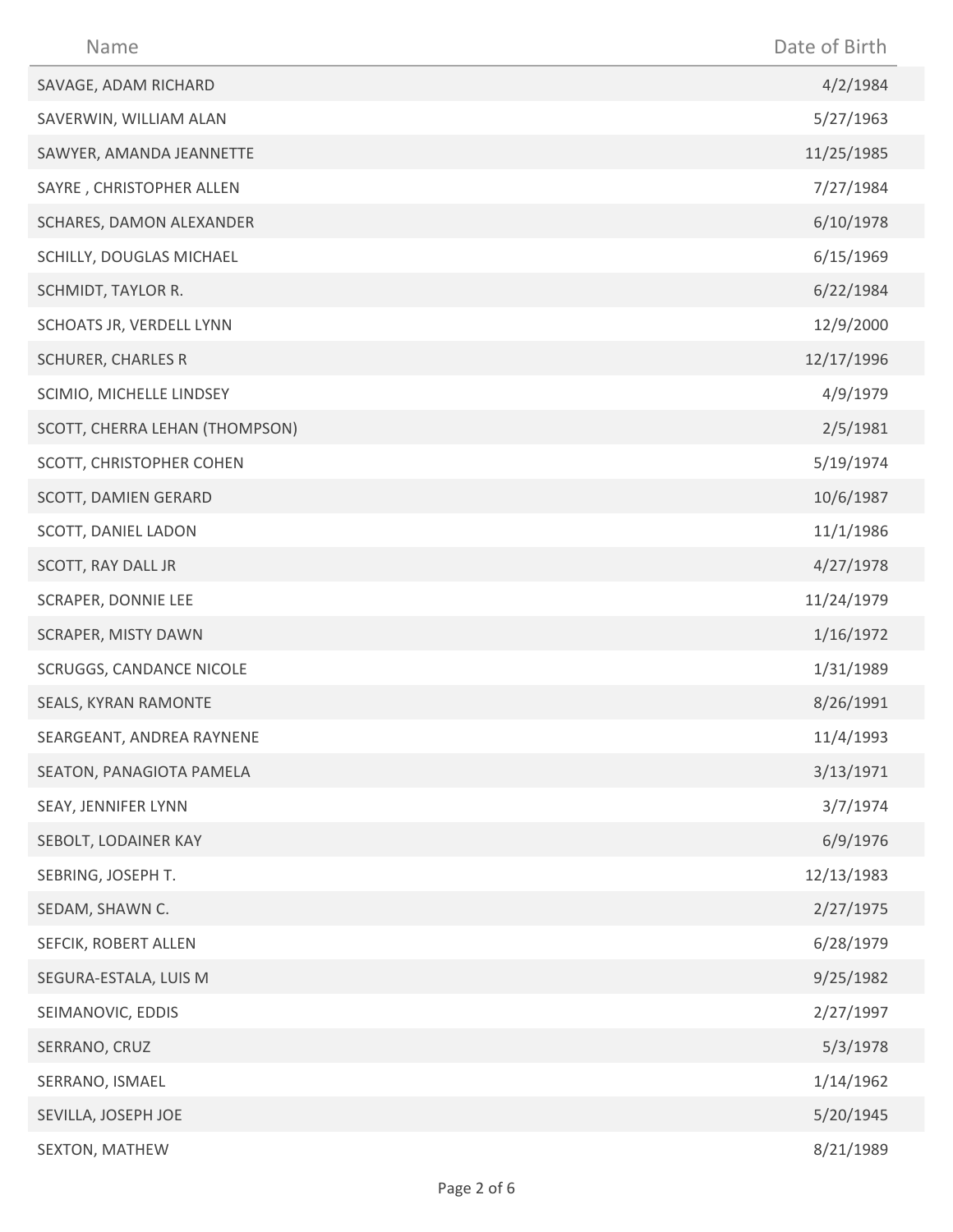| Name                           | Date of Birth |
|--------------------------------|---------------|
| SAVAGE, ADAM RICHARD           | 4/2/1984      |
| SAVERWIN, WILLIAM ALAN         | 5/27/1963     |
| SAWYER, AMANDA JEANNETTE       | 11/25/1985    |
| SAYRE, CHRISTOPHER ALLEN       | 7/27/1984     |
| SCHARES, DAMON ALEXANDER       | 6/10/1978     |
| SCHILLY, DOUGLAS MICHAEL       | 6/15/1969     |
| SCHMIDT, TAYLOR R.             | 6/22/1984     |
| SCHOATS JR, VERDELL LYNN       | 12/9/2000     |
| <b>SCHURER, CHARLES R</b>      | 12/17/1996    |
| SCIMIO, MICHELLE LINDSEY       | 4/9/1979      |
| SCOTT, CHERRA LEHAN (THOMPSON) | 2/5/1981      |
| SCOTT, CHRISTOPHER COHEN       | 5/19/1974     |
| SCOTT, DAMIEN GERARD           | 10/6/1987     |
| SCOTT, DANIEL LADON            | 11/1/1986     |
| SCOTT, RAY DALL JR             | 4/27/1978     |
| <b>SCRAPER, DONNIE LEE</b>     | 11/24/1979    |
| SCRAPER, MISTY DAWN            | 1/16/1972     |
| SCRUGGS, CANDANCE NICOLE       | 1/31/1989     |
| SEALS, KYRAN RAMONTE           | 8/26/1991     |
| SEARGEANT, ANDREA RAYNENE      | 11/4/1993     |
| SEATON, PANAGIOTA PAMELA       | 3/13/1971     |
| SEAY, JENNIFER LYNN            | 3/7/1974      |
| SEBOLT, LODAINER KAY           | 6/9/1976      |
| SEBRING, JOSEPH T.             | 12/13/1983    |
| SEDAM, SHAWN C.                | 2/27/1975     |
| SEFCIK, ROBERT ALLEN           | 6/28/1979     |
| SEGURA-ESTALA, LUIS M          | 9/25/1982     |
| SEIMANOVIC, EDDIS              | 2/27/1997     |
| SERRANO, CRUZ                  | 5/3/1978      |
| SERRANO, ISMAEL                | 1/14/1962     |
| SEVILLA, JOSEPH JOE            | 5/20/1945     |
| SEXTON, MATHEW                 | 8/21/1989     |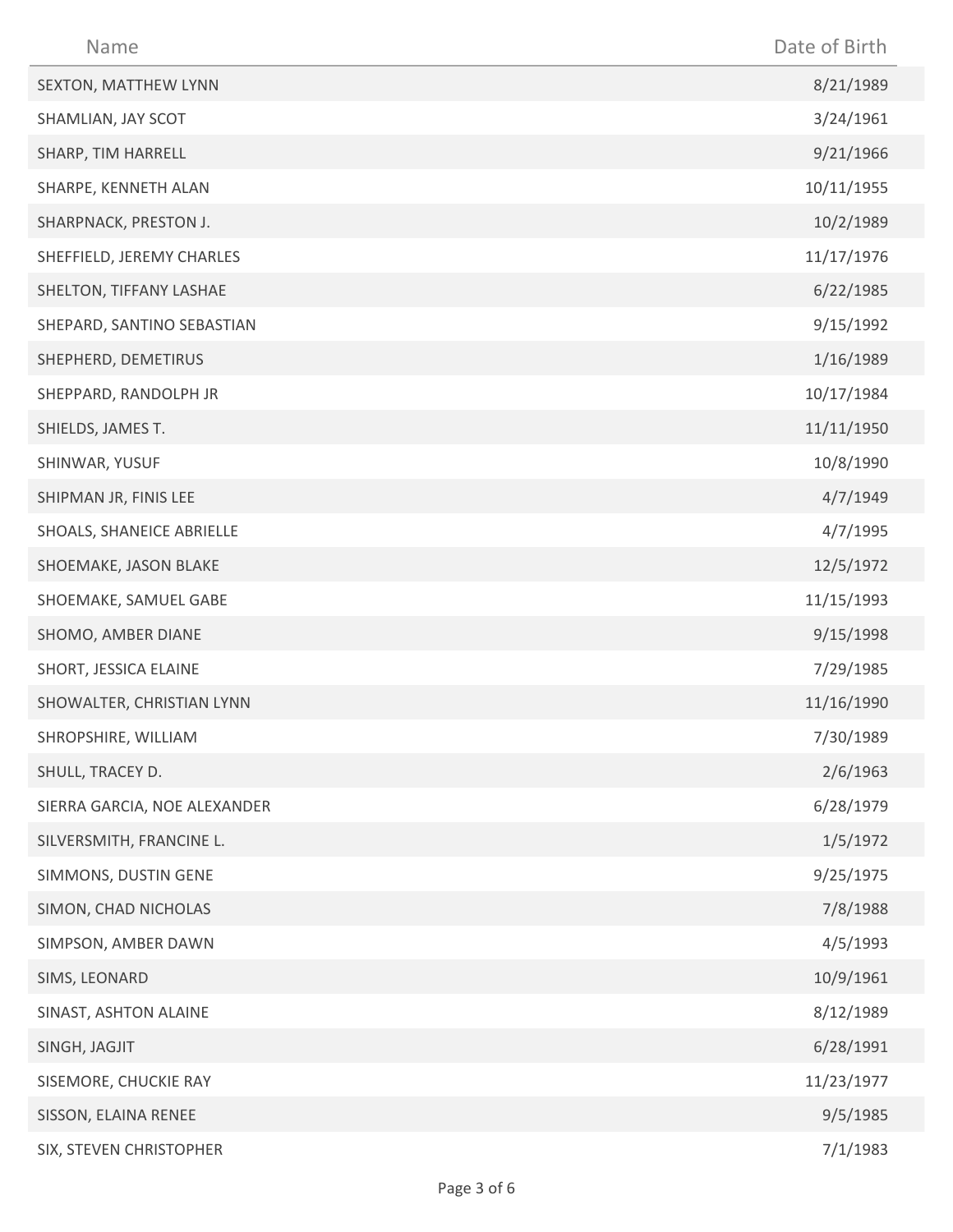| Name                         | Date of Birth |
|------------------------------|---------------|
| SEXTON, MATTHEW LYNN         | 8/21/1989     |
| SHAMLIAN, JAY SCOT           | 3/24/1961     |
| SHARP, TIM HARRELL           | 9/21/1966     |
| SHARPE, KENNETH ALAN         | 10/11/1955    |
| SHARPNACK, PRESTON J.        | 10/2/1989     |
| SHEFFIELD, JEREMY CHARLES    | 11/17/1976    |
| SHELTON, TIFFANY LASHAE      | 6/22/1985     |
| SHEPARD, SANTINO SEBASTIAN   | 9/15/1992     |
| SHEPHERD, DEMETIRUS          | 1/16/1989     |
| SHEPPARD, RANDOLPH JR        | 10/17/1984    |
| SHIELDS, JAMES T.            | 11/11/1950    |
| SHINWAR, YUSUF               | 10/8/1990     |
| SHIPMAN JR, FINIS LEE        | 4/7/1949      |
| SHOALS, SHANEICE ABRIELLE    | 4/7/1995      |
| SHOEMAKE, JASON BLAKE        | 12/5/1972     |
| SHOEMAKE, SAMUEL GABE        | 11/15/1993    |
| SHOMO, AMBER DIANE           | 9/15/1998     |
| SHORT, JESSICA ELAINE        | 7/29/1985     |
| SHOWALTER, CHRISTIAN LYNN    | 11/16/1990    |
| SHROPSHIRE, WILLIAM          | 7/30/1989     |
| SHULL, TRACEY D.             | 2/6/1963      |
| SIERRA GARCIA, NOE ALEXANDER | 6/28/1979     |
| SILVERSMITH, FRANCINE L.     | 1/5/1972      |
| SIMMONS, DUSTIN GENE         | 9/25/1975     |
| SIMON, CHAD NICHOLAS         | 7/8/1988      |
| SIMPSON, AMBER DAWN          | 4/5/1993      |
| SIMS, LEONARD                | 10/9/1961     |
| SINAST, ASHTON ALAINE        | 8/12/1989     |
| SINGH, JAGJIT                | 6/28/1991     |
| SISEMORE, CHUCKIE RAY        | 11/23/1977    |
| SISSON, ELAINA RENEE         | 9/5/1985      |
| SIX, STEVEN CHRISTOPHER      | 7/1/1983      |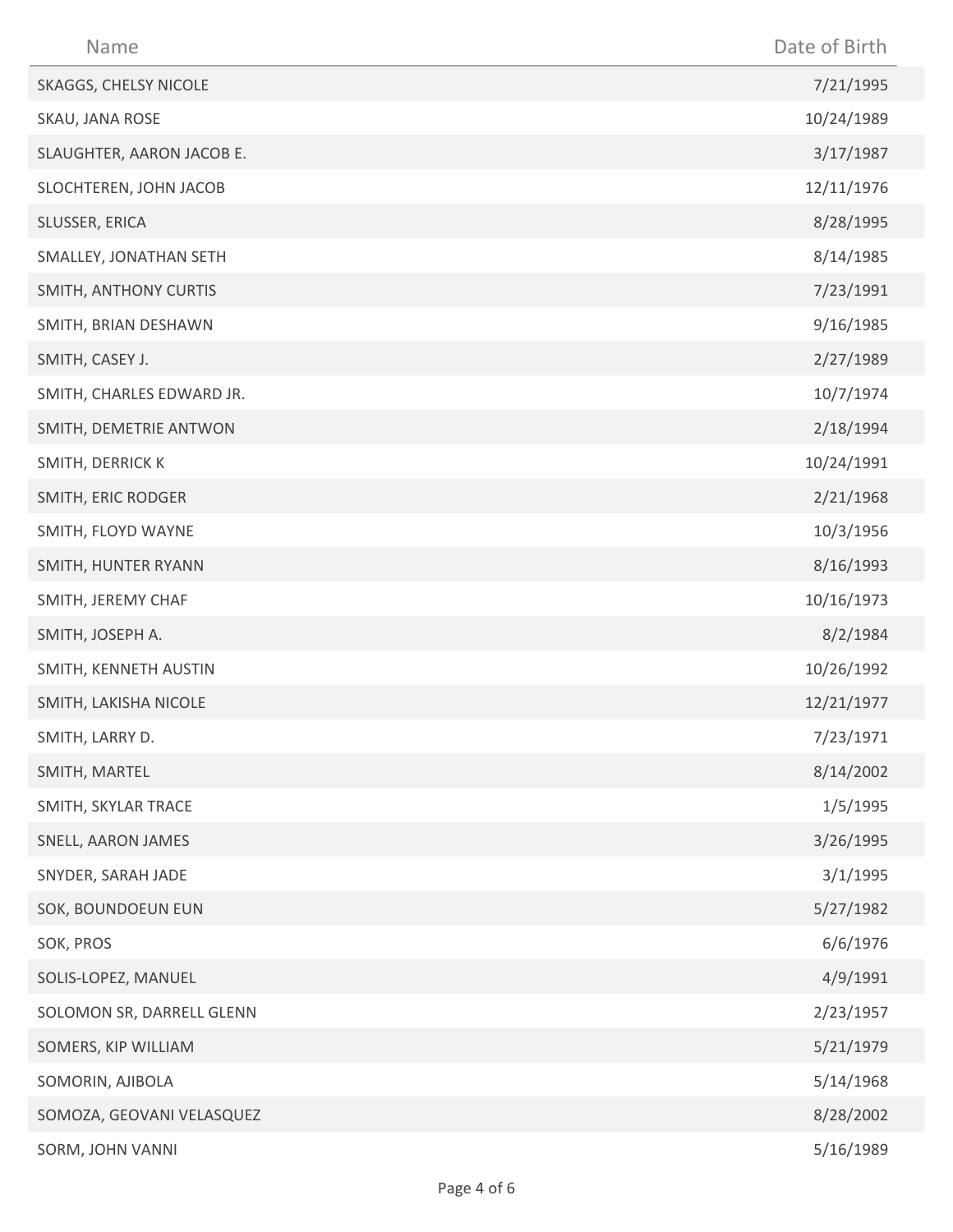| Name                      | Date of Birth |
|---------------------------|---------------|
| SKAGGS, CHELSY NICOLE     | 7/21/1995     |
| SKAU, JANA ROSE           | 10/24/1989    |
| SLAUGHTER, AARON JACOB E. | 3/17/1987     |
| SLOCHTEREN, JOHN JACOB    | 12/11/1976    |
| SLUSSER, ERICA            | 8/28/1995     |
| SMALLEY, JONATHAN SETH    | 8/14/1985     |
| SMITH, ANTHONY CURTIS     | 7/23/1991     |
| SMITH, BRIAN DESHAWN      | 9/16/1985     |
| SMITH, CASEY J.           | 2/27/1989     |
| SMITH, CHARLES EDWARD JR. | 10/7/1974     |
| SMITH, DEMETRIE ANTWON    | 2/18/1994     |
| SMITH, DERRICK K          | 10/24/1991    |
| SMITH, ERIC RODGER        | 2/21/1968     |
| SMITH, FLOYD WAYNE        | 10/3/1956     |
| SMITH, HUNTER RYANN       | 8/16/1993     |
| SMITH, JEREMY CHAF        | 10/16/1973    |
| SMITH, JOSEPH A.          | 8/2/1984      |
| SMITH, KENNETH AUSTIN     | 10/26/1992    |
| SMITH, LAKISHA NICOLE     | 12/21/1977    |
| SMITH, LARRY D.           | 7/23/1971     |
| SMITH, MARTEL             | 8/14/2002     |
| SMITH, SKYLAR TRACE       | 1/5/1995      |
| SNELL, AARON JAMES        | 3/26/1995     |
| SNYDER, SARAH JADE        | 3/1/1995      |
| SOK, BOUNDOEUN EUN        | 5/27/1982     |
| SOK, PROS                 | 6/6/1976      |
| SOLIS-LOPEZ, MANUEL       | 4/9/1991      |
| SOLOMON SR, DARRELL GLENN | 2/23/1957     |
| SOMERS, KIP WILLIAM       | 5/21/1979     |
| SOMORIN, AJIBOLA          | 5/14/1968     |
| SOMOZA, GEOVANI VELASQUEZ | 8/28/2002     |
| SORM, JOHN VANNI          | 5/16/1989     |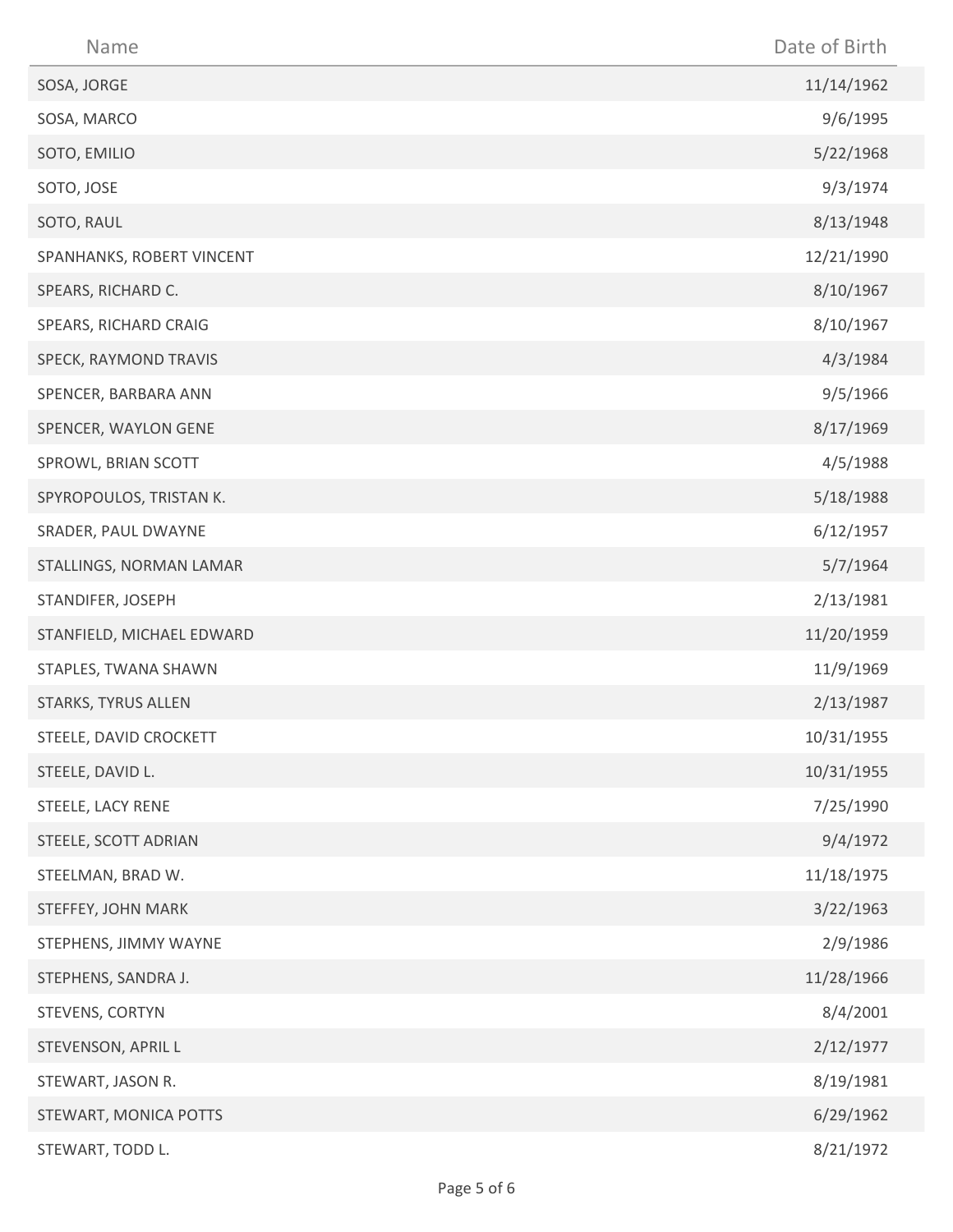| Name                      | Date of Birth |
|---------------------------|---------------|
| SOSA, JORGE               | 11/14/1962    |
| SOSA, MARCO               | 9/6/1995      |
| SOTO, EMILIO              | 5/22/1968     |
| SOTO, JOSE                | 9/3/1974      |
| SOTO, RAUL                | 8/13/1948     |
| SPANHANKS, ROBERT VINCENT | 12/21/1990    |
| SPEARS, RICHARD C.        | 8/10/1967     |
| SPEARS, RICHARD CRAIG     | 8/10/1967     |
| SPECK, RAYMOND TRAVIS     | 4/3/1984      |
| SPENCER, BARBARA ANN      | 9/5/1966      |
| SPENCER, WAYLON GENE      | 8/17/1969     |
| SPROWL, BRIAN SCOTT       | 4/5/1988      |
| SPYROPOULOS, TRISTAN K.   | 5/18/1988     |
| SRADER, PAUL DWAYNE       | 6/12/1957     |
| STALLINGS, NORMAN LAMAR   | 5/7/1964      |
| STANDIFER, JOSEPH         | 2/13/1981     |
| STANFIELD, MICHAEL EDWARD | 11/20/1959    |
| STAPLES, TWANA SHAWN      | 11/9/1969     |
| STARKS, TYRUS ALLEN       | 2/13/1987     |
| STEELE, DAVID CROCKETT    | 10/31/1955    |
| STEELE, DAVID L.          | 10/31/1955    |
| STEELE, LACY RENE         | 7/25/1990     |
| STEELE, SCOTT ADRIAN      | 9/4/1972      |
| STEELMAN, BRAD W.         | 11/18/1975    |
| STEFFEY, JOHN MARK        | 3/22/1963     |
| STEPHENS, JIMMY WAYNE     | 2/9/1986      |
| STEPHENS, SANDRA J.       | 11/28/1966    |
| STEVENS, CORTYN           | 8/4/2001      |
| STEVENSON, APRIL L        | 2/12/1977     |
| STEWART, JASON R.         | 8/19/1981     |
| STEWART, MONICA POTTS     | 6/29/1962     |
| STEWART, TODD L.          | 8/21/1972     |